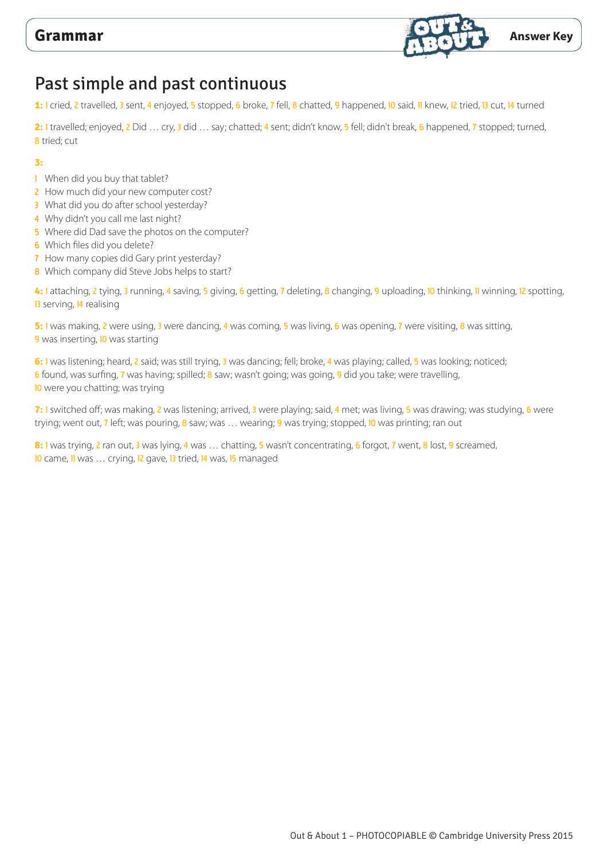

# Past simple and past continuous

1: 1 cried, 2 travelled, 3 sent, 4 enjoyed, 5 stopped, 6 broke, 7 fell, 8 chatted, 9 happened, 10 said, 11 knew, 12 tried, 13 cut, 14 turned

2: 1 travelled; enjoyed, 2 Did ... cry, 3 did ... say; chatted; 4 sent; didn't know, 5 fell; didn't break, 6 happened, 7 stopped; turned, **8** tried; cut

### **3:**

- 1 When did you buy that tablet?
- 2 How much did your new computer cost?
- 3 What did you do after school yesterday?
- 4 Why didn't you call me last night?
- 5 Where did Dad save the photos on the computer?
- 6 Which files did you delete?
- 7 How many copies did Gary print yesterday?
- 8 Which company did Steve Jobs helps to start?

4: 1 attaching, 2 tying, 3 running, 4 saving, 5 giving, 6 getting, 7 deleting, 8 changing, 9 uploading, 10 thinking, 11 winning, 12 spotting, 13 serving, 14 realising

**5:** 1 was making, 2 were using, 3 were dancing, 4 was coming, 5 was living, 6 was opening, 7 were visiting, 8 was sitting, 9 was inserting, **10** was starting

**6:** 1 was listening; heard, 2 said; was still trying, 3 was dancing; fell; broke, 4 was playing; called, 5 was looking; noticed; 6 found, was surfing, 7 was having; spilled; 8 saw; wasn't going; was going, 9 did you take; were travelling, 10 were you chatting; was trying

**7:** 1 switched off; was making, 2 was listening; arrived, 3 were playing; said, 4 met; was living, 5 was drawing; was studying, 6 were trying; went out, 7 left; was pouring, 8 saw; was ... wearing; 9 was trying; stopped, 10 was printing; ran out

**8:** 1 was trying, 2 ran out, 3 was lying, 4 was … chatting, 5 wasn't concentrating, 6 forgot, 7 went, 8 lost, 9 screamed, 10 came, Il was ... crying, 12 gave, 13 tried, 14 was, 15 managed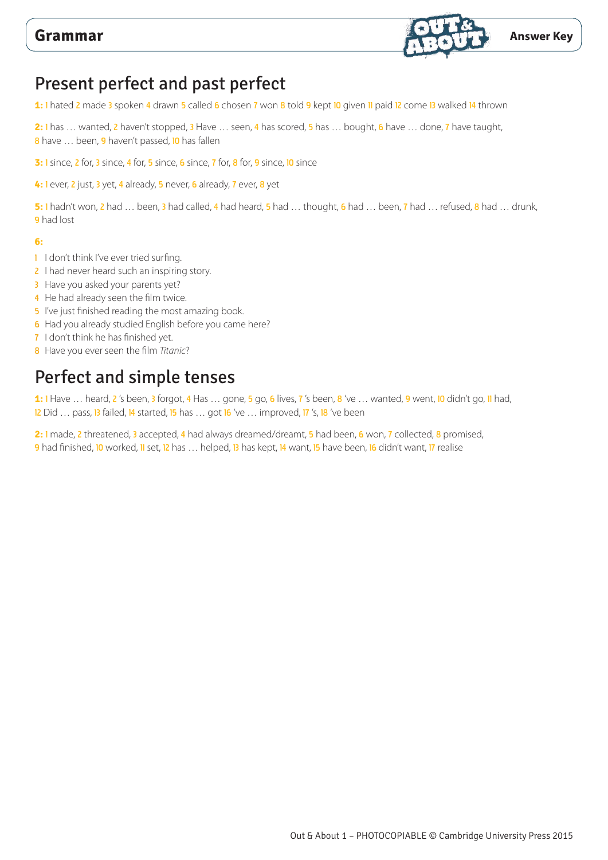

# Present perfect and past perfect

**1:** 1 hated 2 made 3 spoken 4 drawn 5 called 6 chosen 7 won 8 told 9 kept 10 given 11 paid 12 come 13 walked 14 thrown

**2:** 1 has … wanted, 2 haven't stopped, 3 Have … seen, 4 has scored, 5 has … bought, 6 have … done, 7 have taught, 8 have ... been, 9 haven't passed, 10 has fallen

**3:** 1 since, 2 for, 3 since, 4 for, 5 since, 6 since, 7 for, 8 for, 9 since, 10 since

**4:** 1 ever, 2 just, 3 yet, 4 already, 5 never, 6 already, 7 ever, 8 yet

**5:** 1 hadn't won, 2 had … been, 3 had called, 4 had heard, 5 had … thought, 6 had … been, 7 had … refused, 8 had … drunk, 9 had lost

### **6:**

- 1 I don't think I've ever tried surfing.
- 2 I had never heard such an inspiring story.
- **3** Have you asked your parents yet?
- 4 He had already seen the film twice.
- 5 I've just finished reading the most amazing book.
- 6 Had you already studied English before you came here?
- 7 I don't think he has finished yet.
- 8 Have you ever seen the film *Titanic*?

# Perfect and simple tenses

**1:** 1 Have … heard, 2 's been, 3 forgot, 4 Has … gone, 5 go, 6 lives, 7 's been, 8 've … wanted, 9 went, 10 didn't go, 11 had, 12 Did ... pass, 13 failed, 14 started, 15 has ... got 16 've ... improved, 17 's, 18 've been

2: 1 made, 2 threatened, 3 accepted, 4 had always dreamed/dreamt, 5 had been, 6 won, 7 collected, 8 promised, 9 had finished, 10 worked, 11 set, 12 has ... helped, 13 has kept, 14 want, 15 have been, 16 didn't want, 17 realise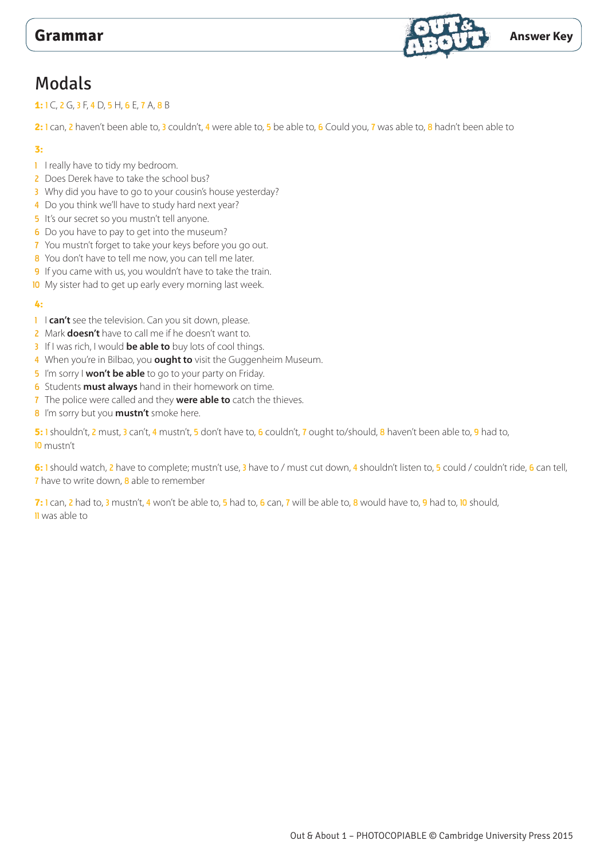

## Modals

### **1:** 1 C, 2 G, 3 F, 4 D, 5 H, 6 E, 7 A, 8 B

2: 1 can, 2 haven't been able to, 3 couldn't, 4 were able to, 5 be able to, 6 Could you, 7 was able to, 8 hadn't been able to

### **3:**

- 1 I really have to tidy my bedroom.
- 2 Does Derek have to take the school bus?
- 3 Why did you have to go to your cousin's house yesterday?
- 4 Do you think we'll have to study hard next year?
- 5 It's our secret so you mustn't tell anyone.
- 6 Do you have to pay to get into the museum?
- 7 You mustn't forget to take your keys before you go out.
- 8 You don't have to tell me now, you can tell me later.
- 9 If you came with us, you wouldn't have to take the train.
- 10 My sister had to get up early every morning last week.

### **4:**

- 1 I can't see the television. Can you sit down, please.
- 2 Mark **doesn't** have to call me if he doesn't want to.
- 3 If I was rich, I would **be able to** buy lots of cool things.
- 4 When you're in Bilbao, you **ought to** visit the Guggenheim Museum.
- 5 I'm sorry I **won't be able** to go to your party on Friday.
- 6 Students **must always** hand in their homework on time.
- 7 The police were called and they **were able to** catch the thieves.
- 8 I'm sorry but you **mustn't** smoke here.

**5:** 1 shouldn't, 2 must, 3 can't, 4 mustn't, 5 don't have to, 6 couldn't, 7 ought to/should, 8 haven't been able to, 9 had to, 10 mustn't

**6:** 1 should watch, 2 have to complete; mustn't use, 3 have to / must cut down, 4 shouldn't listen to, 5 could / couldn't ride, 6 can tell, 7 have to write down, 8 able to remember

**7:** 1 can, 2 had to, 3 mustn't, 4 won't be able to, 5 had to, 6 can, 7 will be able to, 8 would have to, 9 had to, 10 should, 11 was able to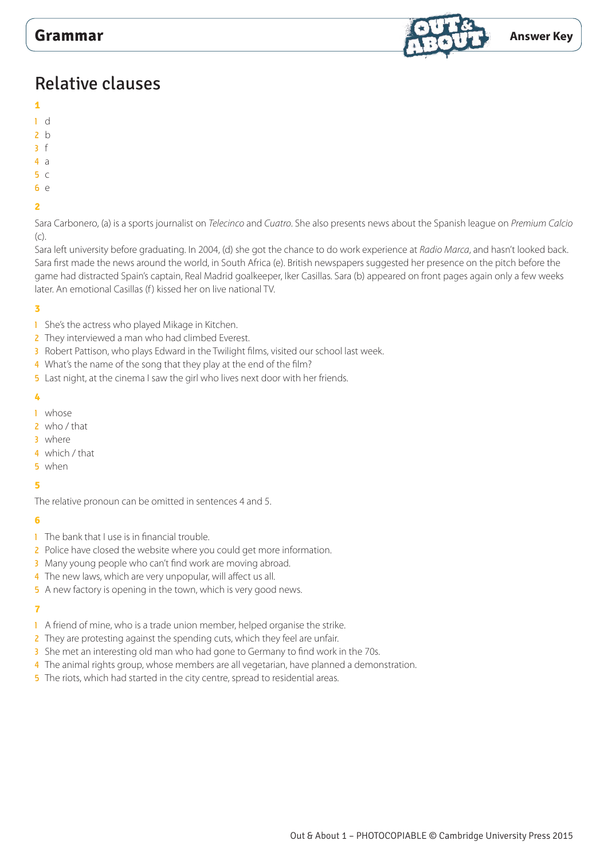

# Relative clauses

- **1**
- 1 d
- $2<sub>b</sub>$
- 3 f
- 4 a
- 5 c
- $6 \alpha$

## **2**

Sara Carbonero, (a) is a sports journalist on *Telecinco* and *Cuatro*. She also presents news about the Spanish league on *Premium Calcio* (c).

Sara left university before graduating. In 2004, (d) she got the chance to do work experience at *Radio Marca*, and hasn't looked back. Sara first made the news around the world, in South Africa (e). British newspapers suggested her presence on the pitch before the game had distracted Spain's captain, Real Madrid goalkeeper, Iker Casillas. Sara (b) appeared on front pages again only a few weeks later. An emotional Casillas (f) kissed her on live national TV.

### **3**

- 1 She's the actress who played Mikage in Kitchen.
- 2 They interviewed a man who had climbed Everest.
- 3 Robert Pattison, who plays Edward in the Twilight films, visited our school last week.
- 4 What's the name of the song that they play at the end of the film?
- 5 Last night, at the cinema I saw the girl who lives next door with her friends.

### **4**

- 1 whose
- 2 who / that
- 3 where
- 4 which / that
- 5 when

### **5**

The relative pronoun can be omitted in sentences 4 and 5.

### **6**

- 1 The bank that I use is in financial trouble.
- 2 Police have closed the website where you could get more information.
- 3 Many young people who can't find work are moving abroad.
- 4 The new laws, which are very unpopular, will affect us all.
- 5 A new factory is opening in the town, which is very good news.

### **7**

- 1 A friend of mine, who is a trade union member, helped organise the strike.
- 2 They are protesting against the spending cuts, which they feel are unfair.
- 3 She met an interesting old man who had gone to Germany to find work in the 70s.
- 4 The animal rights group, whose members are all vegetarian, have planned a demonstration.
- 5 The riots, which had started in the city centre, spread to residential areas.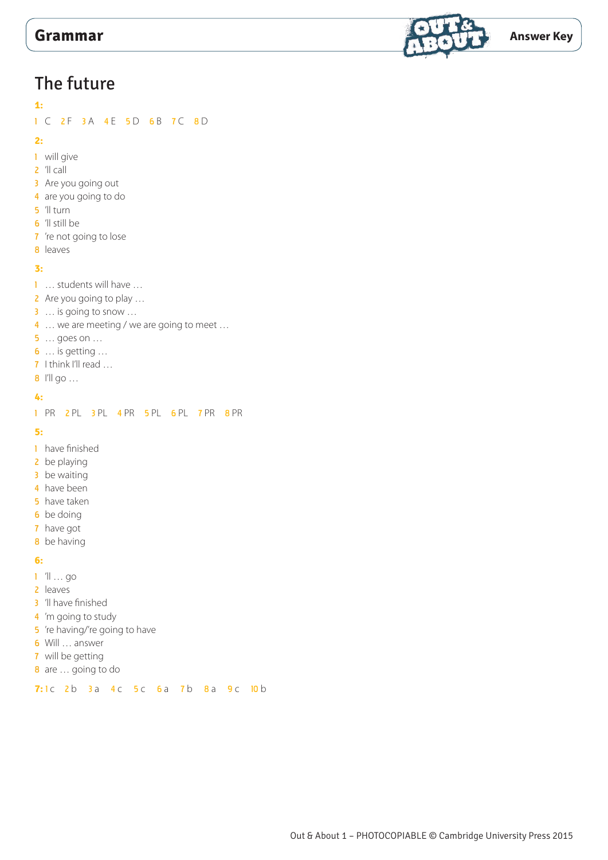

# The future

## **1:**

1 C 2 F 3 A 4 E 5 D 6 B 7 C 8 D

### **2:**

- 1 will give
- 2 'll call
- 3 Are you going out
- 4 are you going to do
- 5 'll turn
- 6 'll still be
- 7 're not going to lose
- 8 leaves

## **3:**

- 1 ... students will have ...
- 2 Are you going to play ...
- 3 … is going to snow …
- 4 ... we are meeting / we are going to meet ...
- 5 … goes on …
- 6 … is getting …
- 7 I think I'll read ...
- 8 I'll go ...

### **4:**

1 PR 2 PL 3 PL 4 PR 5 PL 6 PL 7 PR 8 PR

**5:**

- 1 have finished
- 2 be playing
- 3 be waiting
- 4 have been
- **5** have taken
- **6** be doing
- 7 have got
- 8 be having

### **6:**

- 1 'll … go
- 2 leaves
- 3 'll have finished
- 4 'm going to study
- 5 're having/'re going to have
- 6 Will … answer
- 7 will be getting
- 8 are ... going to do

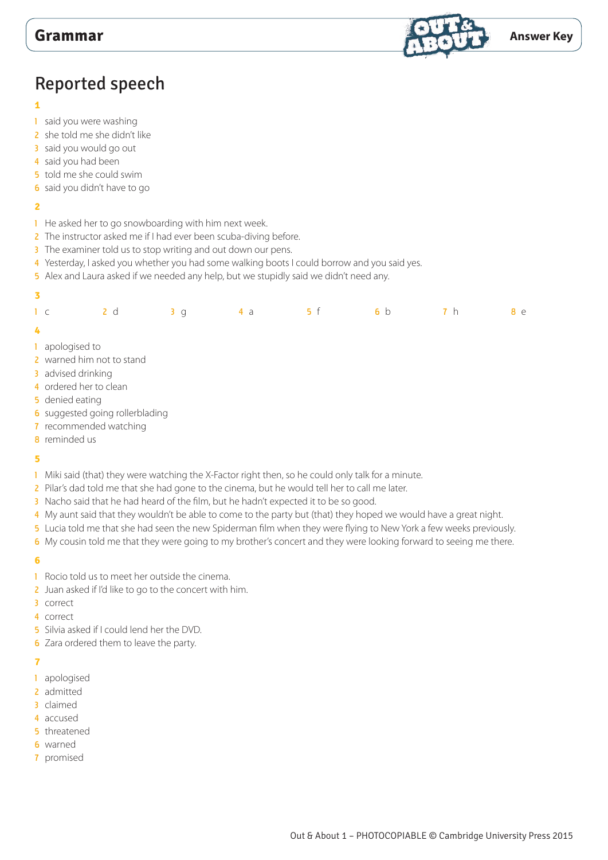

# Reported speech

### 

- 1 said you were washing
- 2 she told me she didn't like
- said you would go out
- 4 said you had been
- 5 told me she could swim
- said you didn't have to go

### 

- 1 He asked her to go snowboarding with him next week.
- 2 The instructor asked me if I had ever been scuba-diving before.
- 3 The examiner told us to stop writing and out down our pens.
- Yesterday, I asked you whether you had some walking boots I could borrow and you said yes.
- 5 Alex and Laura asked if we needed any help, but we stupidly said we didn't need any.

| $\overline{\mathbf{3}}$ |                                 |     |                |    |    |                |            |            |
|-------------------------|---------------------------------|-----|----------------|----|----|----------------|------------|------------|
|                         | $1\,c$                          | 2 d | 3 <sub>g</sub> | 4a | 5f | 6 <sub>b</sub> | <b>7</b> h | <b>8</b> e |
| $\frac{1}{2}$           |                                 |     |                |    |    |                |            |            |
|                         | 1 apologised to                 |     |                |    |    |                |            |            |
|                         | 2 warned him not to stand       |     |                |    |    |                |            |            |
|                         | 3 advised drinking              |     |                |    |    |                |            |            |
|                         | 4 ordered her to clean          |     |                |    |    |                |            |            |
|                         | 5 denied eating                 |     |                |    |    |                |            |            |
|                         | 6 suggested going rollerblading |     |                |    |    |                |            |            |
|                         | 7 recommended watching          |     |                |    |    |                |            |            |

reminded us

### 

- 1 Miki said (that) they were watching the X-Factor right then, so he could only talk for a minute.
- 2 Pilar's dad told me that she had gone to the cinema, but he would tell her to call me later.
- 3 Nacho said that he had heard of the film, but he hadn't expected it to be so good.
- My aunt said that they wouldn't be able to come to the party but (that) they hoped we would have a great night.
- Lucia told me that she had seen the new Spiderman film when they were flying to New York a few weeks previously.
- 6 My cousin told me that they were going to my brother's concert and they were looking forward to seeing me there.

### 

- 1 Rocio told us to meet her outside the cinema.
- 2 Juan asked if I'd like to go to the concert with him.
- correct
- correct
- 5 Silvia asked if I could lend her the DVD.
- Zara ordered them to leave the party.

### 

- apologised
- 2 admitted
- claimed
- accused
- threatened
- warned
- promised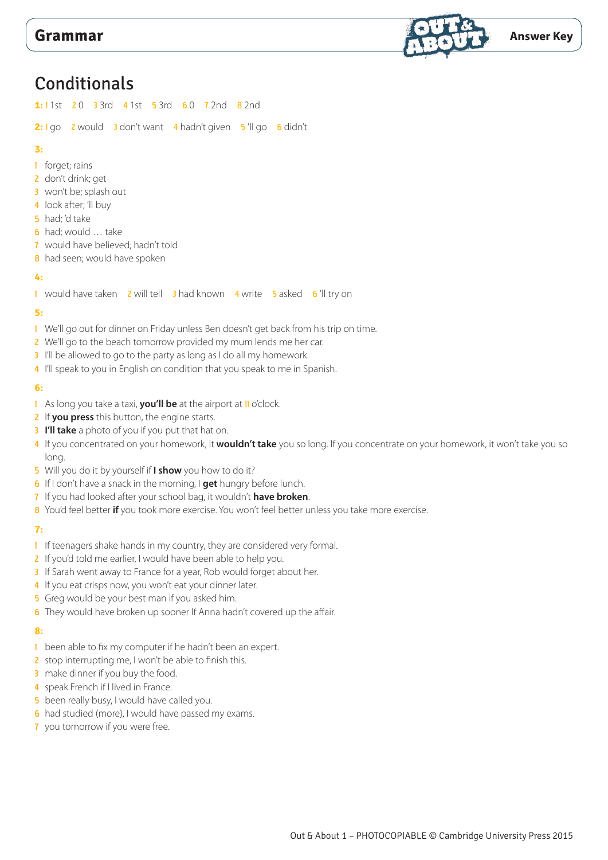

## **Conditionals**

**1:** 1 1st 2 0 3 3rd 4 1st 5 3rd 6 0 7 2nd 8 2nd

2: 1 go 2 would 3 don't want 4 hadn't given 5 'll go 6 didn't

### **3:**

- 1 forget; rains
- 2 don't drink; get
- 3 won't be; splash out
- 4 look after; 'll buy
- 5 had; 'd take
- 6 had; would … take
- 7 would have believed; hadn't told
- 8 had seen; would have spoken

### **4:**

1 would have taken 2 will tell 3 had known 4 write 5 asked 6 'll try on

### **5:**

- 1 We'll go out for dinner on Friday unless Ben doesn't get back from his trip on time.
- 2 We'll go to the beach tomorrow provided my mum lends me her car.
- 3 I'll be allowed to go to the party as long as I do all my homework.
- 4 I'll speak to you in English on condition that you speak to me in Spanish.

### **6:**

- 1 As long you take a taxi, **you'll be** at the airport at **II** o'clock.
- 2 If **you press** this button, the engine starts.
- 3 **I'll take** a photo of you if you put that hat on.
- 4 If you concentrated on your homework, it **wouldn't take** you so long. If you concentrate on your homework, it won't take you so long.
- 5 Will you do it by yourself if **I show** you how to do it?
- 6 If I don't have a snack in the morning, I **get** hungry before lunch.
- 7 If you had looked after your school bag, it wouldn't **have broken**.
- 8 You'd feel better **if** you took more exercise. You won't feel better unless you take more exercise.

### **7:**

- 1 If teenagers shake hands in my country, they are considered very formal.
- 2 If you'd told me earlier, I would have been able to help you.
- 3 If Sarah went away to France for a year, Rob would forget about her.
- 4 If you eat crisps now, you won't eat your dinner later.
- 5 Greg would be your best man if you asked him.
- 6 They would have broken up sooner If Anna hadn't covered up the affair.

### **8:**

- 1 been able to fix my computer if he hadn't been an expert.
- 2 stop interrupting me, I won't be able to finish this.
- 3 make dinner if you buy the food.
- 4 speak French if I lived in France.
- 5 been really busy, I would have called you.
- 6 had studied (more), I would have passed my exams.
- 7 you tomorrow if you were free.